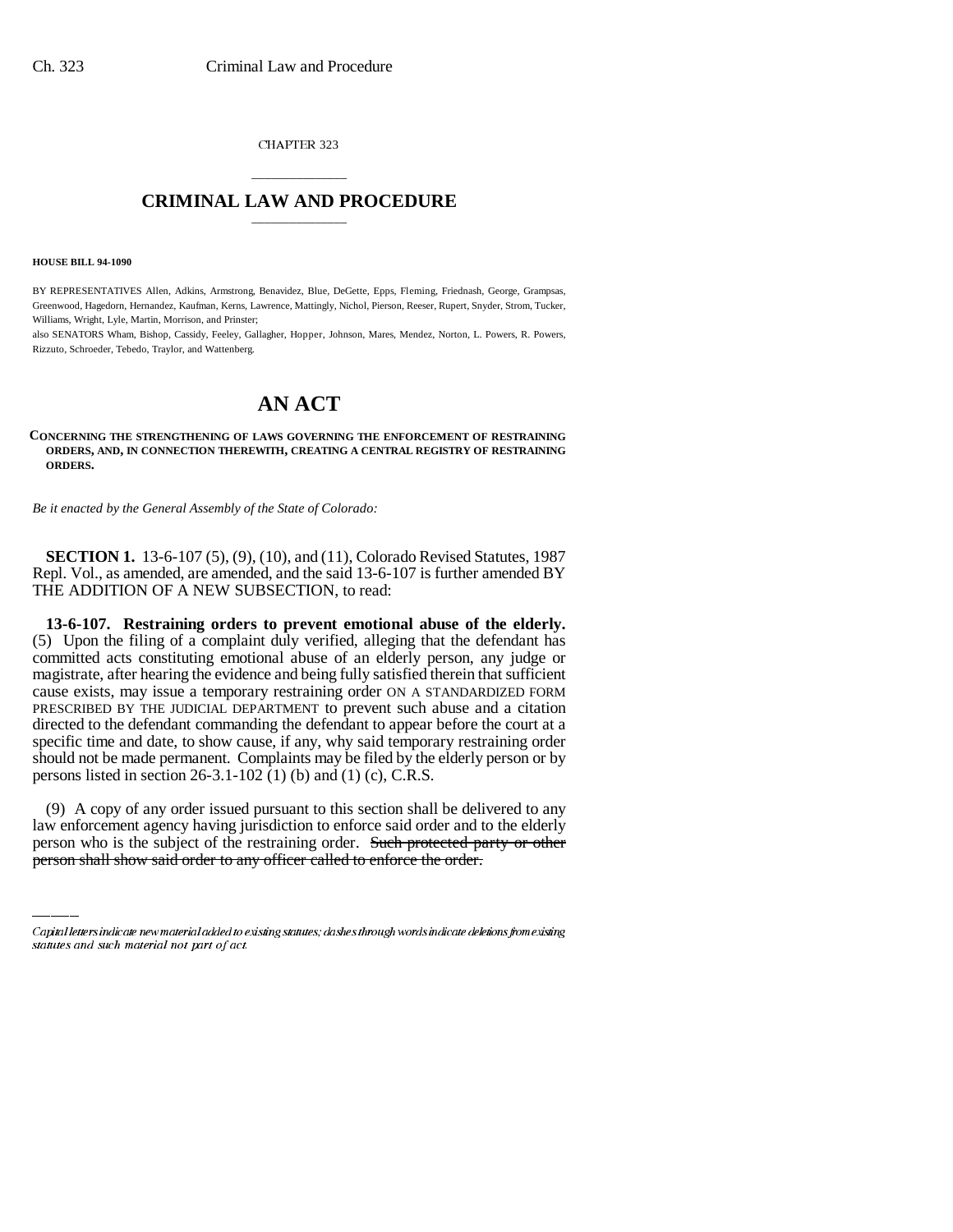CHAPTER 323

## \_\_\_\_\_\_\_\_\_\_\_\_\_\_\_ **CRIMINAL LAW AND PROCEDURE** \_\_\_\_\_\_\_\_\_\_\_\_\_\_\_

**HOUSE BILL 94-1090**

BY REPRESENTATIVES Allen, Adkins, Armstrong, Benavidez, Blue, DeGette, Epps, Fleming, Friednash, George, Grampsas, Greenwood, Hagedorn, Hernandez, Kaufman, Kerns, Lawrence, Mattingly, Nichol, Pierson, Reeser, Rupert, Snyder, Strom, Tucker, Williams, Wright, Lyle, Martin, Morrison, and Prinster;

also SENATORS Wham, Bishop, Cassidy, Feeley, Gallagher, Hopper, Johnson, Mares, Mendez, Norton, L. Powers, R. Powers, Rizzuto, Schroeder, Tebedo, Traylor, and Wattenberg.

# **AN ACT**

**CONCERNING THE STRENGTHENING OF LAWS GOVERNING THE ENFORCEMENT OF RESTRAINING ORDERS, AND, IN CONNECTION THEREWITH, CREATING A CENTRAL REGISTRY OF RESTRAINING ORDERS.**

*Be it enacted by the General Assembly of the State of Colorado:*

**SECTION 1.** 13-6-107 (5), (9), (10), and (11), Colorado Revised Statutes, 1987 Repl. Vol., as amended, are amended, and the said 13-6-107 is further amended BY THE ADDITION OF A NEW SUBSECTION, to read:

**13-6-107. Restraining orders to prevent emotional abuse of the elderly.** (5) Upon the filing of a complaint duly verified, alleging that the defendant has committed acts constituting emotional abuse of an elderly person, any judge or magistrate, after hearing the evidence and being fully satisfied therein that sufficient cause exists, may issue a temporary restraining order ON A STANDARDIZED FORM PRESCRIBED BY THE JUDICIAL DEPARTMENT to prevent such abuse and a citation directed to the defendant commanding the defendant to appear before the court at a specific time and date, to show cause, if any, why said temporary restraining order should not be made permanent. Complaints may be filed by the elderly person or by persons listed in section 26-3.1-102 (1) (b) and (1) (c), C.R.S.

(9) A copy of any order issued pursuant to this section shall be delivered to any law enforcement agency having jurisdiction to enforce said order and to the elderly person who is the subject of the restraining order. Such protected party or other person shall show said order to any officer called to enforce the order.

Capital letters indicate new material added to existing statutes; dashes through words indicate deletions from existing statutes and such material not part of act.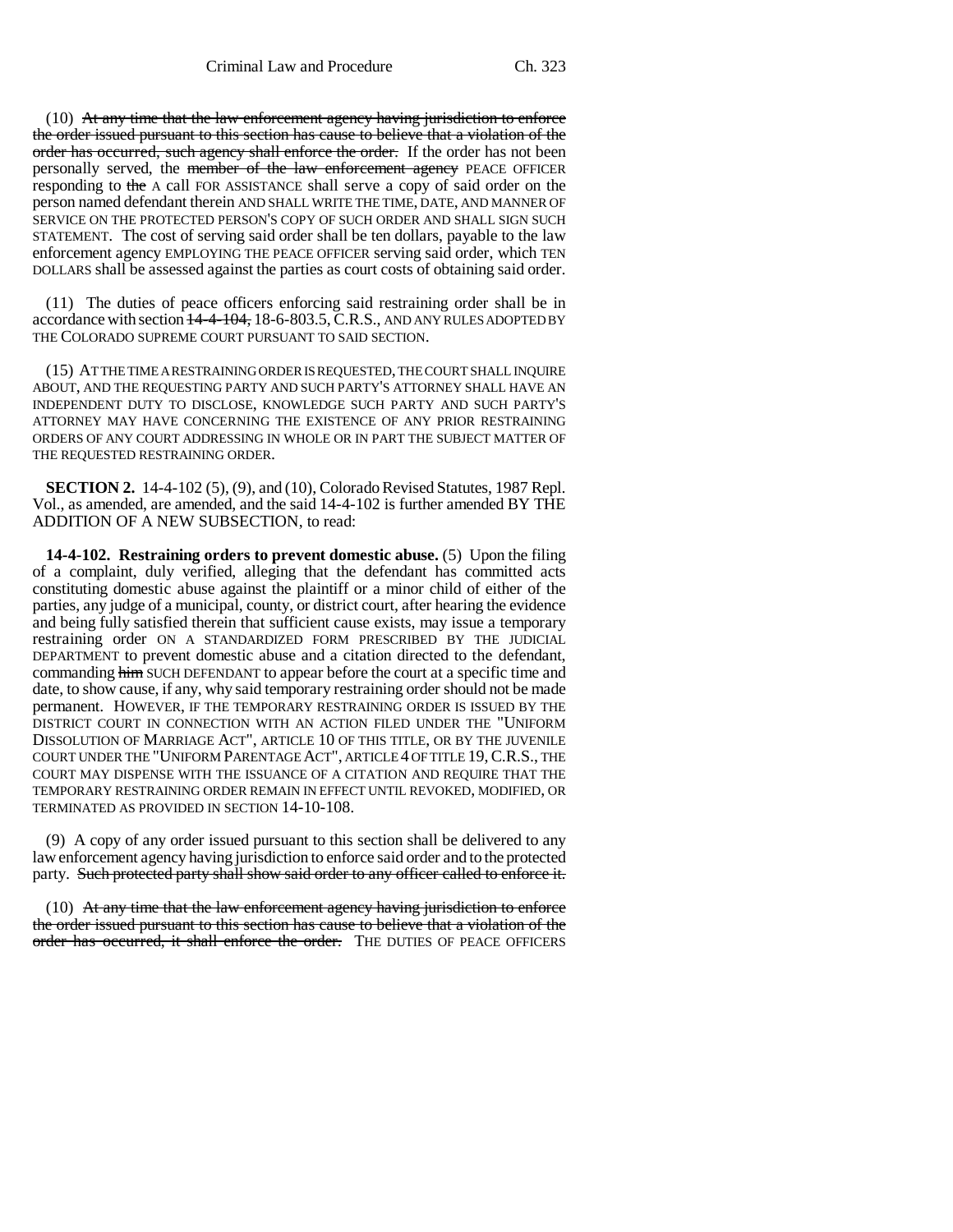$(10)$  At any time that the law enforcement agency having jurisdiction to enforce the order issued pursuant to this section has cause to believe that a violation of the order has occurred, such agency shall enforce the order. If the order has not been personally served, the member of the law enforcement agency PEACE OFFICER responding to the A call FOR ASSISTANCE shall serve a copy of said order on the person named defendant therein AND SHALL WRITE THE TIME, DATE, AND MANNER OF SERVICE ON THE PROTECTED PERSON'S COPY OF SUCH ORDER AND SHALL SIGN SUCH STATEMENT. The cost of serving said order shall be ten dollars, payable to the law enforcement agency EMPLOYING THE PEACE OFFICER serving said order, which TEN DOLLARS shall be assessed against the parties as court costs of obtaining said order.

(11) The duties of peace officers enforcing said restraining order shall be in accordance with section  $\frac{14-4-104}{18-6-803.5}$ , C.R.S., AND ANY RULES ADOPTED BY THE COLORADO SUPREME COURT PURSUANT TO SAID SECTION.

(15) AT THE TIME A RESTRAINING ORDER IS REQUESTED, THE COURT SHALL INQUIRE ABOUT, AND THE REQUESTING PARTY AND SUCH PARTY'S ATTORNEY SHALL HAVE AN INDEPENDENT DUTY TO DISCLOSE, KNOWLEDGE SUCH PARTY AND SUCH PARTY'S ATTORNEY MAY HAVE CONCERNING THE EXISTENCE OF ANY PRIOR RESTRAINING ORDERS OF ANY COURT ADDRESSING IN WHOLE OR IN PART THE SUBJECT MATTER OF THE REQUESTED RESTRAINING ORDER.

**SECTION 2.** 14-4-102 (5), (9), and (10), Colorado Revised Statutes, 1987 Repl. Vol., as amended, are amended, and the said 14-4-102 is further amended BY THE ADDITION OF A NEW SUBSECTION, to read:

**14-4-102. Restraining orders to prevent domestic abuse.** (5) Upon the filing of a complaint, duly verified, alleging that the defendant has committed acts constituting domestic abuse against the plaintiff or a minor child of either of the parties, any judge of a municipal, county, or district court, after hearing the evidence and being fully satisfied therein that sufficient cause exists, may issue a temporary restraining order ON A STANDARDIZED FORM PRESCRIBED BY THE JUDICIAL DEPARTMENT to prevent domestic abuse and a citation directed to the defendant, commanding him SUCH DEFENDANT to appear before the court at a specific time and date, to show cause, if any, why said temporary restraining order should not be made permanent. HOWEVER, IF THE TEMPORARY RESTRAINING ORDER IS ISSUED BY THE DISTRICT COURT IN CONNECTION WITH AN ACTION FILED UNDER THE "UNIFORM DISSOLUTION OF MARRIAGE ACT", ARTICLE 10 OF THIS TITLE, OR BY THE JUVENILE COURT UNDER THE "UNIFORM PARENTAGE ACT", ARTICLE 4 OF TITLE 19,C.R.S., THE COURT MAY DISPENSE WITH THE ISSUANCE OF A CITATION AND REQUIRE THAT THE TEMPORARY RESTRAINING ORDER REMAIN IN EFFECT UNTIL REVOKED, MODIFIED, OR TERMINATED AS PROVIDED IN SECTION 14-10-108.

(9) A copy of any order issued pursuant to this section shall be delivered to any law enforcement agency having jurisdiction to enforce said order and to the protected party. Such protected party shall show said order to any officer called to enforce it.

(10) At any time that the law enforcement agency having jurisdiction to enforce the order issued pursuant to this section has cause to believe that a violation of the order has occurred, it shall enforce the order. THE DUTIES OF PEACE OFFICERS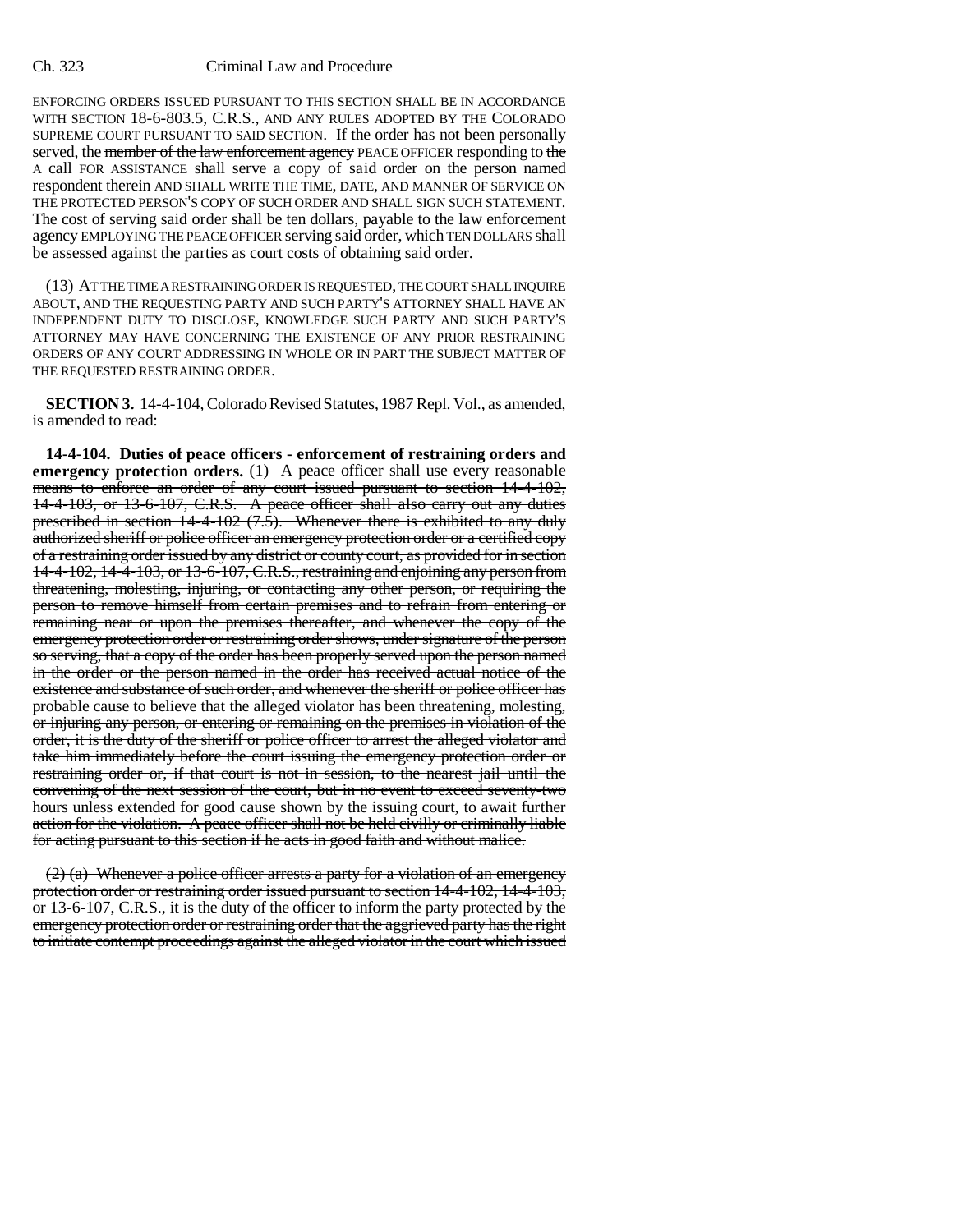#### Ch. 323 Criminal Law and Procedure

ENFORCING ORDERS ISSUED PURSUANT TO THIS SECTION SHALL BE IN ACCORDANCE WITH SECTION 18-6-803.5, C.R.S., AND ANY RULES ADOPTED BY THE COLORADO SUPREME COURT PURSUANT TO SAID SECTION. If the order has not been personally served, the member of the law enforcement agency PEACE OFFICER responding to the A call FOR ASSISTANCE shall serve a copy of said order on the person named respondent therein AND SHALL WRITE THE TIME, DATE, AND MANNER OF SERVICE ON THE PROTECTED PERSON'S COPY OF SUCH ORDER AND SHALL SIGN SUCH STATEMENT. The cost of serving said order shall be ten dollars, payable to the law enforcement agency EMPLOYING THE PEACE OFFICER serving said order, which TEN DOLLARS shall be assessed against the parties as court costs of obtaining said order.

(13) AT THE TIME A RESTRAINING ORDER IS REQUESTED, THE COURT SHALL INQUIRE ABOUT, AND THE REQUESTING PARTY AND SUCH PARTY'S ATTORNEY SHALL HAVE AN INDEPENDENT DUTY TO DISCLOSE, KNOWLEDGE SUCH PARTY AND SUCH PARTY'S ATTORNEY MAY HAVE CONCERNING THE EXISTENCE OF ANY PRIOR RESTRAINING ORDERS OF ANY COURT ADDRESSING IN WHOLE OR IN PART THE SUBJECT MATTER OF THE REQUESTED RESTRAINING ORDER.

**SECTION 3.** 14-4-104, Colorado Revised Statutes, 1987 Repl. Vol., as amended, is amended to read:

**14-4-104. Duties of peace officers - enforcement of restraining orders and emergency protection orders.** (1) A peace officer shall use every reasonable means to enforce an order of any court issued pursuant to section 14-4-102, 14-4-103, or 13-6-107, C.R.S. A peace officer shall also carry out any duties prescribed in section 14-4-102 (7.5). Whenever there is exhibited to any duly authorized sheriff or police officer an emergency protection order or a certified copy of a restraining order issued by any district or county court, as provided for in section 14-4-102, 14-4-103, or 13-6-107, C.R.S., restraining and enjoining any person from threatening, molesting, injuring, or contacting any other person, or requiring the person to remove himself from certain premises and to refrain from entering or remaining near or upon the premises thereafter, and whenever the copy of the emergency protection order or restraining order shows, under signature of the person so serving, that a copy of the order has been properly served upon the person named in the order or the person named in the order has received actual notice of the existence and substance of such order, and whenever the sheriff or police officer has probable cause to believe that the alleged violator has been threatening, molesting, or injuring any person, or entering or remaining on the premises in violation of the order, it is the duty of the sheriff or police officer to arrest the alleged violator and take him immediately before the court issuing the emergency protection order or restraining order or, if that court is not in session, to the nearest jail until the convening of the next session of the court, but in no event to exceed seventy-two hours unless extended for good cause shown by the issuing court, to await further action for the violation. A peace officer shall not be held civilly or criminally liable for acting pursuant to this section if he acts in good faith and without malice.

 $(2)$  (a) Whenever a police officer arrests a party for a violation of an emergency protection order or restraining order issued pursuant to section 14-4-102, 14-4-103, or 13-6-107, C.R.S., it is the duty of the officer to inform the party protected by the emergency protection order or restraining order that the aggrieved party has the right to initiate contempt proceedings against the alleged violator in the court which issued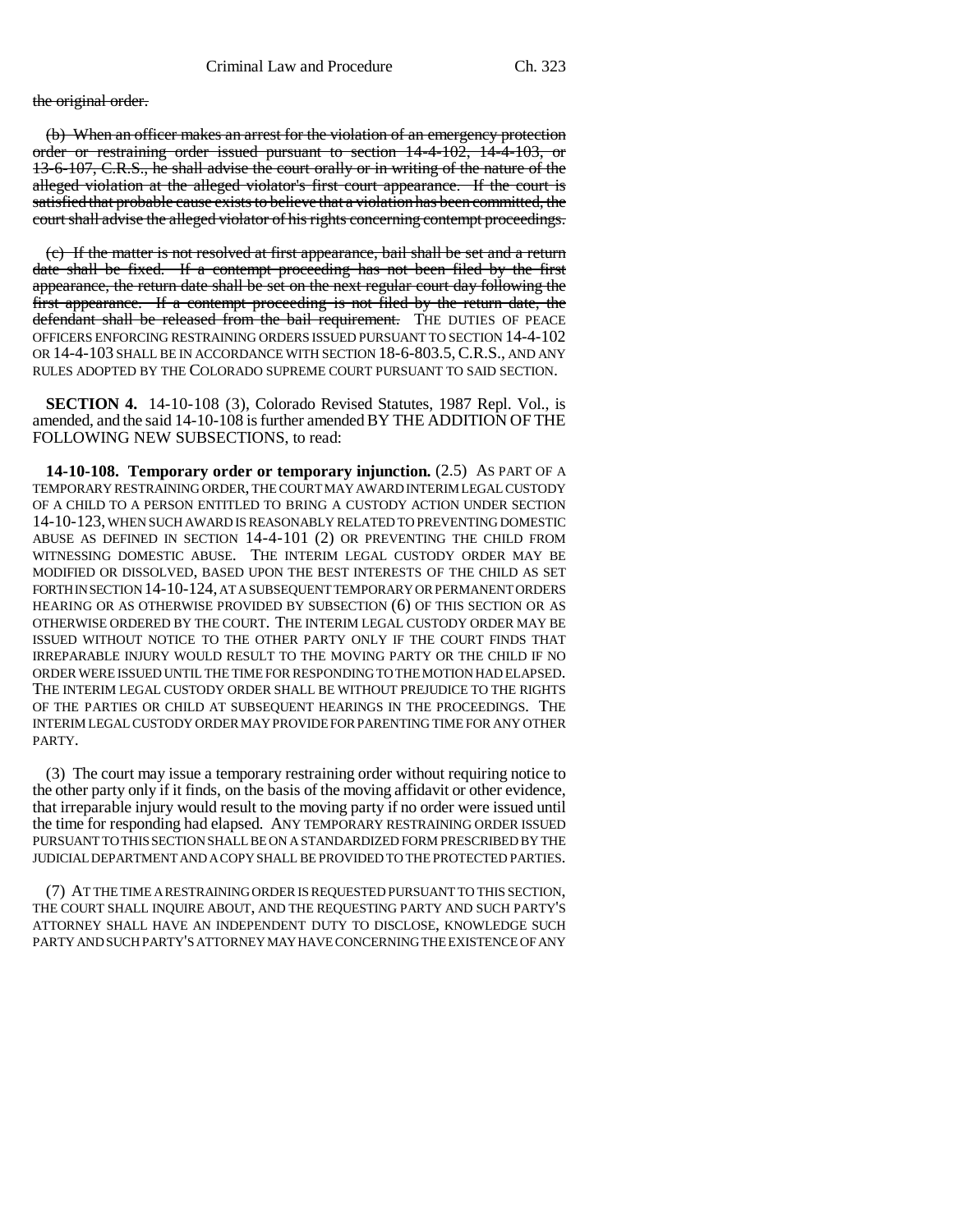the original order.

(b) When an officer makes an arrest for the violation of an emergency protection order or restraining order issued pursuant to section 14-4-102, 14-4-103, or 13-6-107, C.R.S., he shall advise the court orally or in writing of the nature of the alleged violation at the alleged violator's first court appearance. If the court is satisfied that probable cause exists to believe that a violation has been committed, the court shall advise the alleged violator of his rights concerning contempt proceedings.

(c) If the matter is not resolved at first appearance, bail shall be set and a return date shall be fixed. If a contempt proceeding has not been filed by the first appearance, the return date shall be set on the next regular court day following the first appearance. If a contempt proceeding is not filed by the return date, the defendant shall be released from the bail requirement. THE DUTIES OF PEACE OFFICERS ENFORCING RESTRAINING ORDERS ISSUED PURSUANT TO SECTION 14-4-102 OR 14-4-103 SHALL BE IN ACCORDANCE WITH SECTION 18-6-803.5,C.R.S., AND ANY RULES ADOPTED BY THE COLORADO SUPREME COURT PURSUANT TO SAID SECTION.

**SECTION 4.** 14-10-108 (3), Colorado Revised Statutes, 1987 Repl. Vol., is amended, and the said 14-10-108 is further amended BY THE ADDITION OF THE FOLLOWING NEW SUBSECTIONS, to read:

**14-10-108. Temporary order or temporary injunction.** (2.5) AS PART OF A TEMPORARY RESTRAINING ORDER, THE COURT MAY AWARD INTERIM LEGAL CUSTODY OF A CHILD TO A PERSON ENTITLED TO BRING A CUSTODY ACTION UNDER SECTION 14-10-123, WHEN SUCH AWARD IS REASONABLY RELATED TO PREVENTING DOMESTIC ABUSE AS DEFINED IN SECTION 14-4-101 (2) OR PREVENTING THE CHILD FROM WITNESSING DOMESTIC ABUSE. THE INTERIM LEGAL CUSTODY ORDER MAY BE MODIFIED OR DISSOLVED, BASED UPON THE BEST INTERESTS OF THE CHILD AS SET FORTH IN SECTION 14-10-124, AT A SUBSEQUENT TEMPORARY OR PERMANENT ORDERS HEARING OR AS OTHERWISE PROVIDED BY SUBSECTION (6) OF THIS SECTION OR AS OTHERWISE ORDERED BY THE COURT. THE INTERIM LEGAL CUSTODY ORDER MAY BE ISSUED WITHOUT NOTICE TO THE OTHER PARTY ONLY IF THE COURT FINDS THAT IRREPARABLE INJURY WOULD RESULT TO THE MOVING PARTY OR THE CHILD IF NO ORDER WERE ISSUED UNTIL THE TIME FOR RESPONDING TO THE MOTION HAD ELAPSED. THE INTERIM LEGAL CUSTODY ORDER SHALL BE WITHOUT PREJUDICE TO THE RIGHTS OF THE PARTIES OR CHILD AT SUBSEQUENT HEARINGS IN THE PROCEEDINGS. THE INTERIM LEGAL CUSTODY ORDER MAY PROVIDE FOR PARENTING TIME FOR ANY OTHER PARTY.

(3) The court may issue a temporary restraining order without requiring notice to the other party only if it finds, on the basis of the moving affidavit or other evidence, that irreparable injury would result to the moving party if no order were issued until the time for responding had elapsed. ANY TEMPORARY RESTRAINING ORDER ISSUED PURSUANT TO THIS SECTION SHALL BE ON A STANDARDIZED FORM PRESCRIBED BY THE JUDICIAL DEPARTMENT AND A COPY SHALL BE PROVIDED TO THE PROTECTED PARTIES.

(7) AT THE TIME A RESTRAINING ORDER IS REQUESTED PURSUANT TO THIS SECTION, THE COURT SHALL INQUIRE ABOUT, AND THE REQUESTING PARTY AND SUCH PARTY'S ATTORNEY SHALL HAVE AN INDEPENDENT DUTY TO DISCLOSE, KNOWLEDGE SUCH PARTY AND SUCH PARTY'S ATTORNEY MAY HAVE CONCERNING THE EXISTENCE OF ANY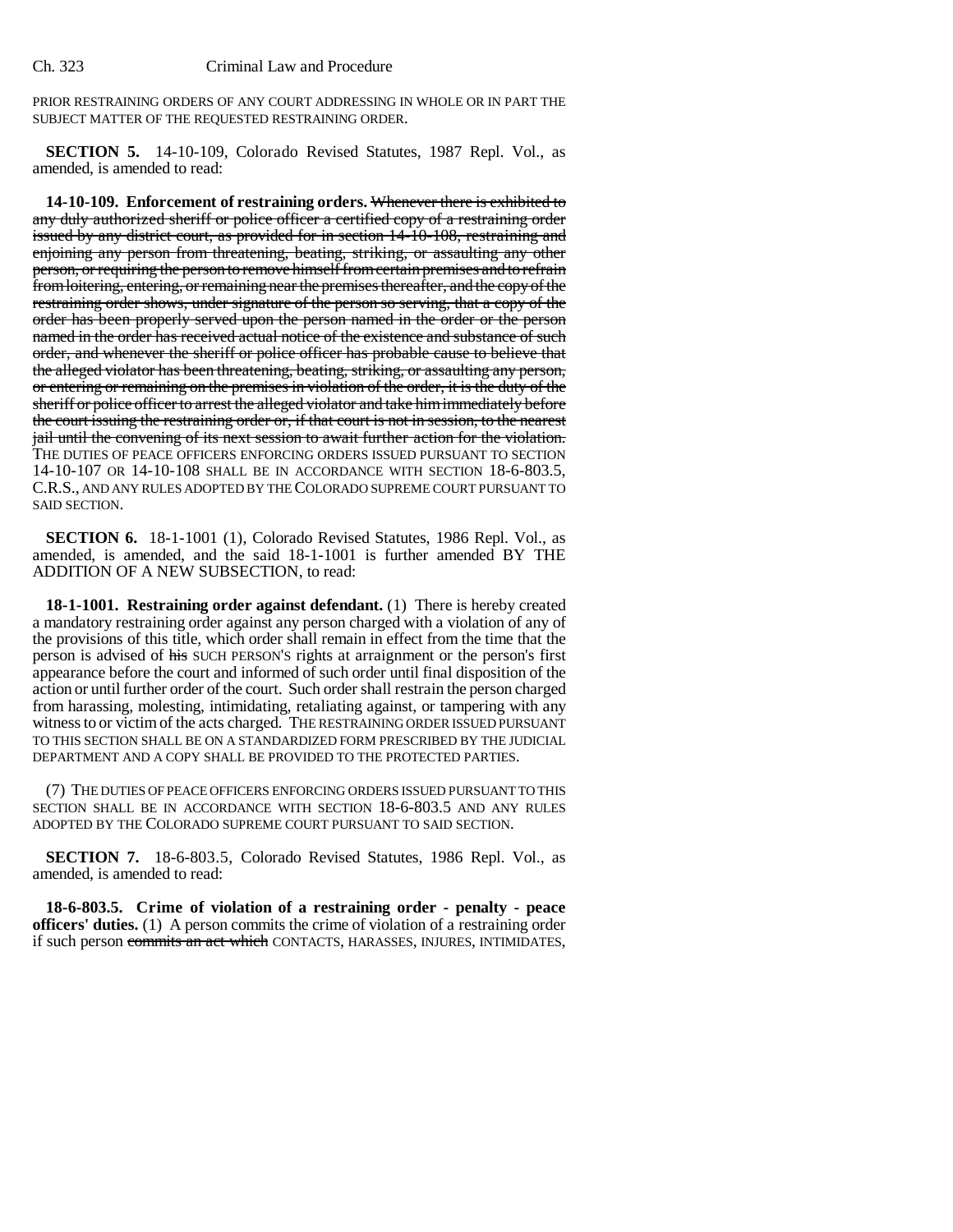PRIOR RESTRAINING ORDERS OF ANY COURT ADDRESSING IN WHOLE OR IN PART THE SUBJECT MATTER OF THE REQUESTED RESTRAINING ORDER.

**SECTION 5.** 14-10-109, Colorado Revised Statutes, 1987 Repl. Vol., as amended, is amended to read:

**14-10-109. Enforcement of restraining orders.** Whenever there is exhibited to any duly authorized sheriff or police officer a certified copy of a restraining order issued by any district court, as provided for in section 14-10-108, restraining and enjoining any person from threatening, beating, striking, or assaulting any other person, or requiring the person to remove himself from certain premises and to refrain from loitering, entering, or remaining near the premises thereafter, and the copy of the restraining order shows, under signature of the person so serving, that a copy of the order has been properly served upon the person named in the order or the person named in the order has received actual notice of the existence and substance of such order, and whenever the sheriff or police officer has probable cause to believe that the alleged violator has been threatening, beating, striking, or assaulting any person, or entering or remaining on the premises in violation of the order, it is the duty of the sheriff or police officer to arrest the alleged violator and take him immediately before the court issuing the restraining order or, if that court is not in session, to the nearest jail until the convening of its next session to await further action for the violation. THE DUTIES OF PEACE OFFICERS ENFORCING ORDERS ISSUED PURSUANT TO SECTION 14-10-107 OR 14-10-108 SHALL BE IN ACCORDANCE WITH SECTION 18-6-803.5, C.R.S., AND ANY RULES ADOPTED BY THE COLORADO SUPREME COURT PURSUANT TO SAID SECTION.

**SECTION 6.** 18-1-1001 (1), Colorado Revised Statutes, 1986 Repl. Vol., as amended, is amended, and the said 18-1-1001 is further amended BY THE ADDITION OF A NEW SUBSECTION, to read:

**18-1-1001. Restraining order against defendant.** (1) There is hereby created a mandatory restraining order against any person charged with a violation of any of the provisions of this title, which order shall remain in effect from the time that the person is advised of his SUCH PERSON'S rights at arraignment or the person's first appearance before the court and informed of such order until final disposition of the action or until further order of the court. Such order shall restrain the person charged from harassing, molesting, intimidating, retaliating against, or tampering with any witness to or victim of the acts charged. THE RESTRAINING ORDER ISSUED PURSUANT TO THIS SECTION SHALL BE ON A STANDARDIZED FORM PRESCRIBED BY THE JUDICIAL DEPARTMENT AND A COPY SHALL BE PROVIDED TO THE PROTECTED PARTIES.

(7) THE DUTIES OF PEACE OFFICERS ENFORCING ORDERS ISSUED PURSUANT TO THIS SECTION SHALL BE IN ACCORDANCE WITH SECTION 18-6-803.5 AND ANY RULES ADOPTED BY THE COLORADO SUPREME COURT PURSUANT TO SAID SECTION.

**SECTION 7.** 18-6-803.5, Colorado Revised Statutes, 1986 Repl. Vol., as amended, is amended to read:

**18-6-803.5. Crime of violation of a restraining order - penalty - peace officers' duties.** (1) A person commits the crime of violation of a restraining order if such person commits an act which CONTACTS, HARASSES, INJURES, INTIMIDATES,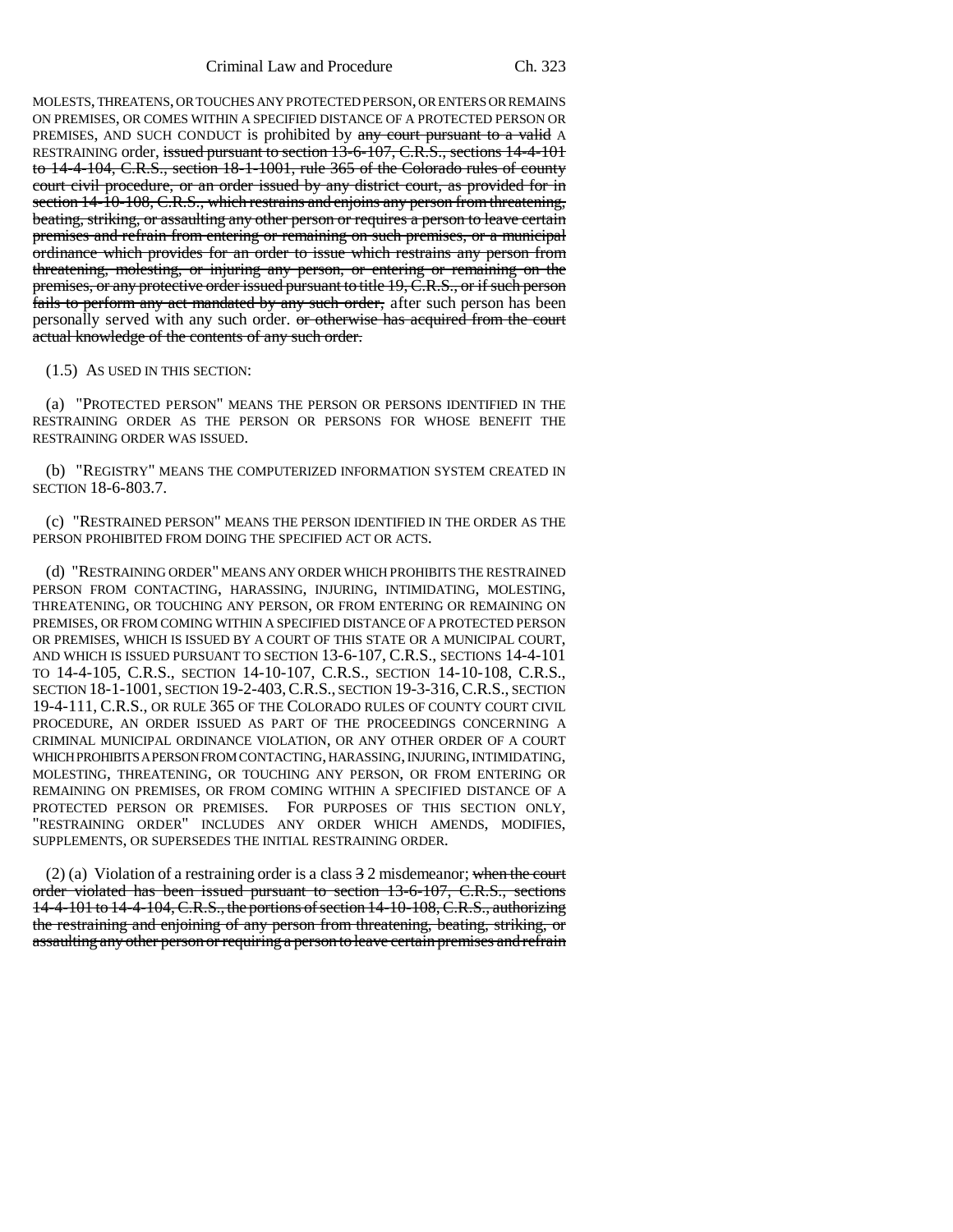MOLESTS, THREATENS, OR TOUCHES ANY PROTECTED PERSON, OR ENTERS OR REMAINS ON PREMISES, OR COMES WITHIN A SPECIFIED DISTANCE OF A PROTECTED PERSON OR PREMISES, AND SUCH CONDUCT is prohibited by any court pursuant to a valid A RESTRAINING order, issued pursuant to section 13-6-107, C.R.S., sections 14-4-101 to 14-4-104, C.R.S., section 18-1-1001, rule 365 of the Colorado rules of county court civil procedure, or an order issued by any district court, as provided for in section 14-10-108, C.R.S., which restrains and enjoins any person from threatening, beating, striking, or assaulting any other person or requires a person to leave certain premises and refrain from entering or remaining on such premises, or a municipal ordinance which provides for an order to issue which restrains any person from threatening, molesting, or injuring any person, or entering or remaining on the premises, or any protective order issued pursuant to title 19, C.R.S., or if such person fails to perform any act mandated by any such order, after such person has been personally served with any such order. <del>or otherwise has acquired from the court</del> actual knowledge of the contents of any such order.

(1.5) AS USED IN THIS SECTION:

(a) "PROTECTED PERSON" MEANS THE PERSON OR PERSONS IDENTIFIED IN THE RESTRAINING ORDER AS THE PERSON OR PERSONS FOR WHOSE BENEFIT THE RESTRAINING ORDER WAS ISSUED.

(b) "REGISTRY" MEANS THE COMPUTERIZED INFORMATION SYSTEM CREATED IN SECTION 18-6-803.7.

(c) "RESTRAINED PERSON" MEANS THE PERSON IDENTIFIED IN THE ORDER AS THE PERSON PROHIBITED FROM DOING THE SPECIFIED ACT OR ACTS.

(d) "RESTRAINING ORDER" MEANS ANY ORDER WHICH PROHIBITS THE RESTRAINED PERSON FROM CONTACTING, HARASSING, INJURING, INTIMIDATING, MOLESTING, THREATENING, OR TOUCHING ANY PERSON, OR FROM ENTERING OR REMAINING ON PREMISES, OR FROM COMING WITHIN A SPECIFIED DISTANCE OF A PROTECTED PERSON OR PREMISES, WHICH IS ISSUED BY A COURT OF THIS STATE OR A MUNICIPAL COURT, AND WHICH IS ISSUED PURSUANT TO SECTION 13-6-107, C.R.S., SECTIONS 14-4-101 TO 14-4-105, C.R.S., SECTION 14-10-107, C.R.S., SECTION 14-10-108, C.R.S., SECTION 18-1-1001, SECTION 19-2-403,C.R.S., SECTION 19-3-316,C.R.S., SECTION 19-4-111, C.R.S., OR RULE 365 OF THE COLORADO RULES OF COUNTY COURT CIVIL PROCEDURE, AN ORDER ISSUED AS PART OF THE PROCEEDINGS CONCERNING A CRIMINAL MUNICIPAL ORDINANCE VIOLATION, OR ANY OTHER ORDER OF A COURT WHICH PROHIBITS A PERSON FROM CONTACTING, HARASSING, INJURING, INTIMIDATING, MOLESTING, THREATENING, OR TOUCHING ANY PERSON, OR FROM ENTERING OR REMAINING ON PREMISES, OR FROM COMING WITHIN A SPECIFIED DISTANCE OF A PROTECTED PERSON OR PREMISES. FOR PURPOSES OF THIS SECTION ONLY, "RESTRAINING ORDER" INCLUDES ANY ORDER WHICH AMENDS, MODIFIES, SUPPLEMENTS, OR SUPERSEDES THE INITIAL RESTRAINING ORDER.

(2) (a) Violation of a restraining order is a class  $32$  misdemeanor; when the court order violated has been issued pursuant to section 13-6-107, C.R.S., sections 14-4-101 to 14-4-104, C.R.S., the portions of section 14-10-108, C.R.S., authorizing the restraining and enjoining of any person from threatening, beating, striking, or assaulting any other person or requiring a person to leave certain premises and refrain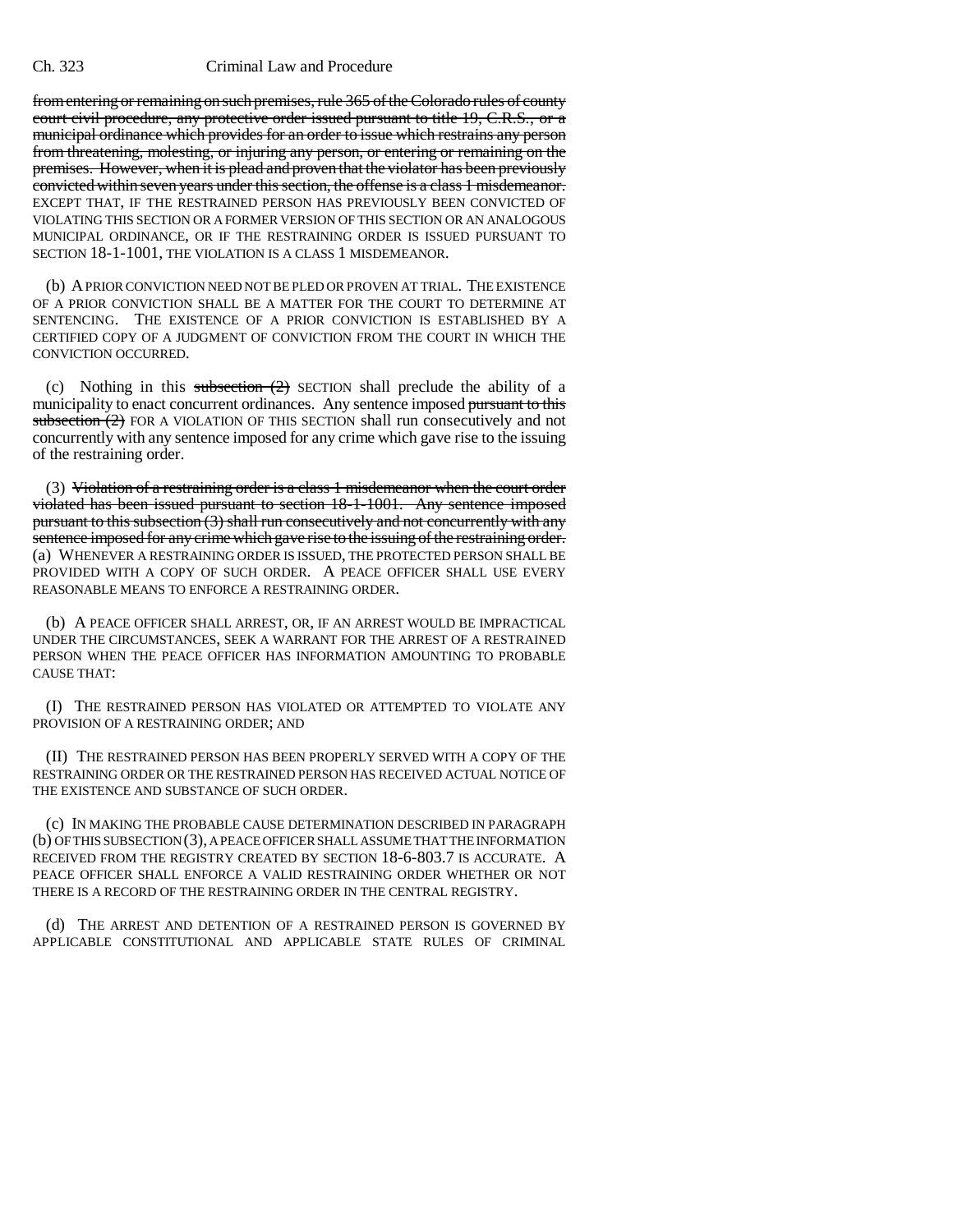#### Ch. 323 Criminal Law and Procedure

from entering or remaining on such premises, rule 365 of the Colorado rules of county court civil procedure, any protective order issued pursuant to title 19, C.R.S., or a municipal ordinance which provides for an order to issue which restrains any person from threatening, molesting, or injuring any person, or entering or remaining on the premises. However, when it is plead and proven that the violator has been previously convicted within seven years under this section, the offense is a class 1 misdemeanor. EXCEPT THAT, IF THE RESTRAINED PERSON HAS PREVIOUSLY BEEN CONVICTED OF VIOLATING THIS SECTION OR A FORMER VERSION OF THIS SECTION OR AN ANALOGOUS MUNICIPAL ORDINANCE, OR IF THE RESTRAINING ORDER IS ISSUED PURSUANT TO SECTION 18-1-1001, THE VIOLATION IS A CLASS 1 MISDEMEANOR.

(b) A PRIOR CONVICTION NEED NOT BE PLED OR PROVEN AT TRIAL. THE EXISTENCE OF A PRIOR CONVICTION SHALL BE A MATTER FOR THE COURT TO DETERMINE AT SENTENCING. THE EXISTENCE OF A PRIOR CONVICTION IS ESTABLISHED BY A CERTIFIED COPY OF A JUDGMENT OF CONVICTION FROM THE COURT IN WHICH THE CONVICTION OCCURRED.

(c) Nothing in this subsection  $(2)$  SECTION shall preclude the ability of a municipality to enact concurrent ordinances. Any sentence imposed pursuant to this subsection  $(2)$  FOR A VIOLATION OF THIS SECTION shall run consecutively and not concurrently with any sentence imposed for any crime which gave rise to the issuing of the restraining order.

(3) Violation of a restraining order is a class 1 misdemeanor when the court order violated has been issued pursuant to section 18-1-1001. Any sentence imposed pursuant to this subsection (3) shall run consecutively and not concurrently with any sentence imposed for any crime which gave rise to the issuing of the restraining order. (a) WHENEVER A RESTRAINING ORDER IS ISSUED, THE PROTECTED PERSON SHALL BE PROVIDED WITH A COPY OF SUCH ORDER. A PEACE OFFICER SHALL USE EVERY REASONABLE MEANS TO ENFORCE A RESTRAINING ORDER.

(b) A PEACE OFFICER SHALL ARREST, OR, IF AN ARREST WOULD BE IMPRACTICAL UNDER THE CIRCUMSTANCES, SEEK A WARRANT FOR THE ARREST OF A RESTRAINED PERSON WHEN THE PEACE OFFICER HAS INFORMATION AMOUNTING TO PROBABLE CAUSE THAT:

(I) THE RESTRAINED PERSON HAS VIOLATED OR ATTEMPTED TO VIOLATE ANY PROVISION OF A RESTRAINING ORDER; AND

(II) THE RESTRAINED PERSON HAS BEEN PROPERLY SERVED WITH A COPY OF THE RESTRAINING ORDER OR THE RESTRAINED PERSON HAS RECEIVED ACTUAL NOTICE OF THE EXISTENCE AND SUBSTANCE OF SUCH ORDER.

(c) IN MAKING THE PROBABLE CAUSE DETERMINATION DESCRIBED IN PARAGRAPH (b) OF THIS SUBSECTION (3), A PEACE OFFICER SHALL ASSUME THAT THE INFORMATION RECEIVED FROM THE REGISTRY CREATED BY SECTION 18-6-803.7 IS ACCURATE. A PEACE OFFICER SHALL ENFORCE A VALID RESTRAINING ORDER WHETHER OR NOT THERE IS A RECORD OF THE RESTRAINING ORDER IN THE CENTRAL REGISTRY.

(d) THE ARREST AND DETENTION OF A RESTRAINED PERSON IS GOVERNED BY APPLICABLE CONSTITUTIONAL AND APPLICABLE STATE RULES OF CRIMINAL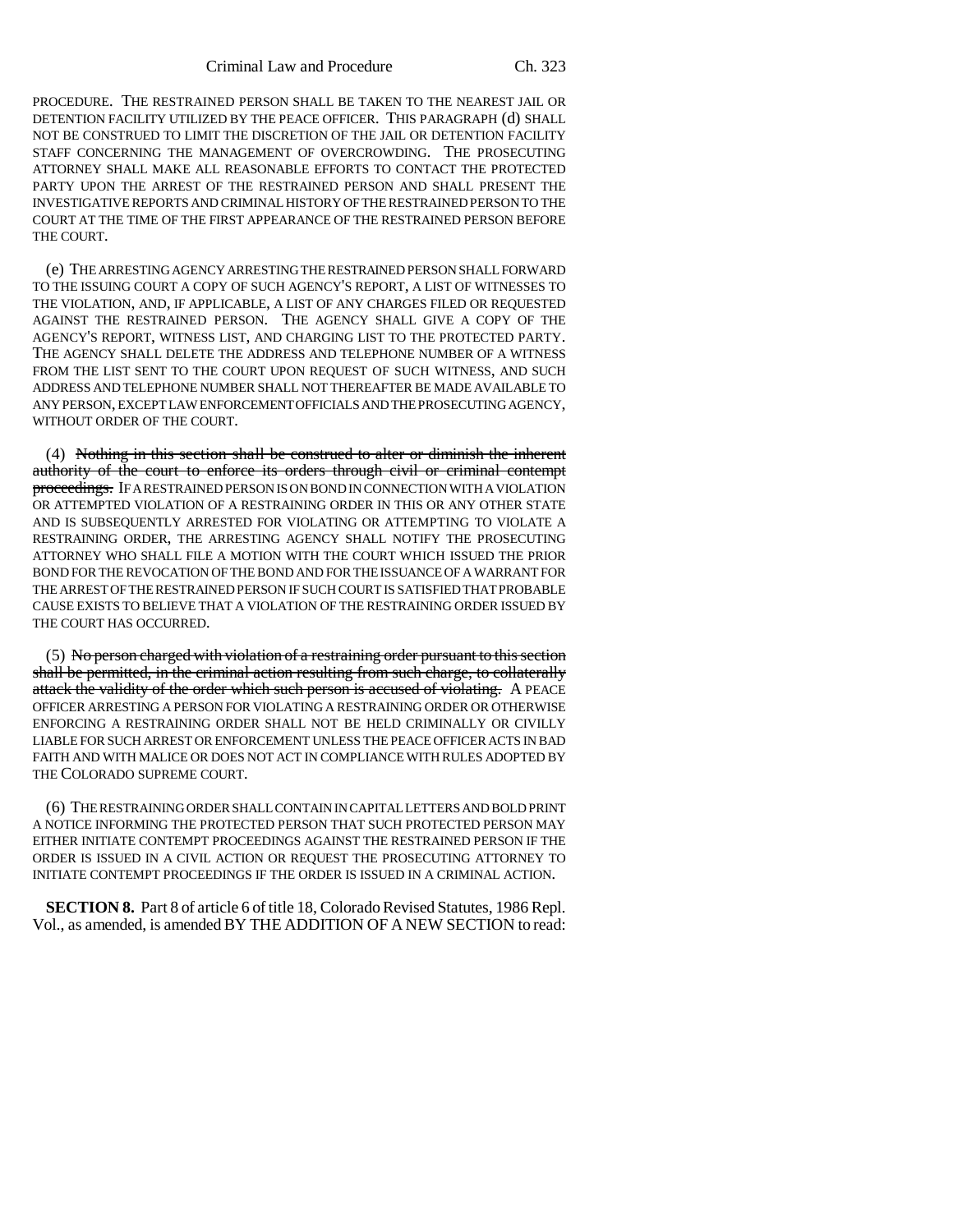PROCEDURE. THE RESTRAINED PERSON SHALL BE TAKEN TO THE NEAREST JAIL OR DETENTION FACILITY UTILIZED BY THE PEACE OFFICER. THIS PARAGRAPH (d) SHALL NOT BE CONSTRUED TO LIMIT THE DISCRETION OF THE JAIL OR DETENTION FACILITY STAFF CONCERNING THE MANAGEMENT OF OVERCROWDING. THE PROSECUTING ATTORNEY SHALL MAKE ALL REASONABLE EFFORTS TO CONTACT THE PROTECTED PARTY UPON THE ARREST OF THE RESTRAINED PERSON AND SHALL PRESENT THE INVESTIGATIVE REPORTS AND CRIMINAL HISTORY OF THE RESTRAINED PERSON TO THE COURT AT THE TIME OF THE FIRST APPEARANCE OF THE RESTRAINED PERSON BEFORE THE COURT.

(e) THE ARRESTING AGENCY ARRESTING THE RESTRAINED PERSON SHALL FORWARD TO THE ISSUING COURT A COPY OF SUCH AGENCY'S REPORT, A LIST OF WITNESSES TO THE VIOLATION, AND, IF APPLICABLE, A LIST OF ANY CHARGES FILED OR REQUESTED AGAINST THE RESTRAINED PERSON. THE AGENCY SHALL GIVE A COPY OF THE AGENCY'S REPORT, WITNESS LIST, AND CHARGING LIST TO THE PROTECTED PARTY. THE AGENCY SHALL DELETE THE ADDRESS AND TELEPHONE NUMBER OF A WITNESS FROM THE LIST SENT TO THE COURT UPON REQUEST OF SUCH WITNESS, AND SUCH ADDRESS AND TELEPHONE NUMBER SHALL NOT THEREAFTER BE MADE AVAILABLE TO ANY PERSON, EXCEPT LAW ENFORCEMENT OFFICIALS AND THE PROSECUTING AGENCY, WITHOUT ORDER OF THE COURT.

(4) Nothing in this section shall be construed to alter or diminish the inherent authority of the court to enforce its orders through civil or criminal contempt proceedings. IF A RESTRAINED PERSON IS ON BOND IN CONNECTION WITH A VIOLATION OR ATTEMPTED VIOLATION OF A RESTRAINING ORDER IN THIS OR ANY OTHER STATE AND IS SUBSEQUENTLY ARRESTED FOR VIOLATING OR ATTEMPTING TO VIOLATE A RESTRAINING ORDER, THE ARRESTING AGENCY SHALL NOTIFY THE PROSECUTING ATTORNEY WHO SHALL FILE A MOTION WITH THE COURT WHICH ISSUED THE PRIOR BOND FOR THE REVOCATION OF THE BOND AND FOR THE ISSUANCE OF A WARRANT FOR THE ARREST OF THE RESTRAINED PERSON IF SUCH COURT IS SATISFIED THAT PROBABLE CAUSE EXISTS TO BELIEVE THAT A VIOLATION OF THE RESTRAINING ORDER ISSUED BY THE COURT HAS OCCURRED.

(5) No person charged with violation of a restraining order pursuant to this section shall be permitted, in the criminal action resulting from such charge, to collaterally attack the validity of the order which such person is accused of violating. A PEACE OFFICER ARRESTING A PERSON FOR VIOLATING A RESTRAINING ORDER OR OTHERWISE ENFORCING A RESTRAINING ORDER SHALL NOT BE HELD CRIMINALLY OR CIVILLY LIABLE FOR SUCH ARREST OR ENFORCEMENT UNLESS THE PEACE OFFICER ACTS IN BAD FAITH AND WITH MALICE OR DOES NOT ACT IN COMPLIANCE WITH RULES ADOPTED BY THE COLORADO SUPREME COURT.

(6) THE RESTRAINING ORDER SHALL CONTAIN IN CAPITAL LETTERS AND BOLD PRINT A NOTICE INFORMING THE PROTECTED PERSON THAT SUCH PROTECTED PERSON MAY EITHER INITIATE CONTEMPT PROCEEDINGS AGAINST THE RESTRAINED PERSON IF THE ORDER IS ISSUED IN A CIVIL ACTION OR REQUEST THE PROSECUTING ATTORNEY TO INITIATE CONTEMPT PROCEEDINGS IF THE ORDER IS ISSUED IN A CRIMINAL ACTION.

**SECTION 8.** Part 8 of article 6 of title 18, Colorado Revised Statutes, 1986 Repl. Vol., as amended, is amended BY THE ADDITION OF A NEW SECTION to read: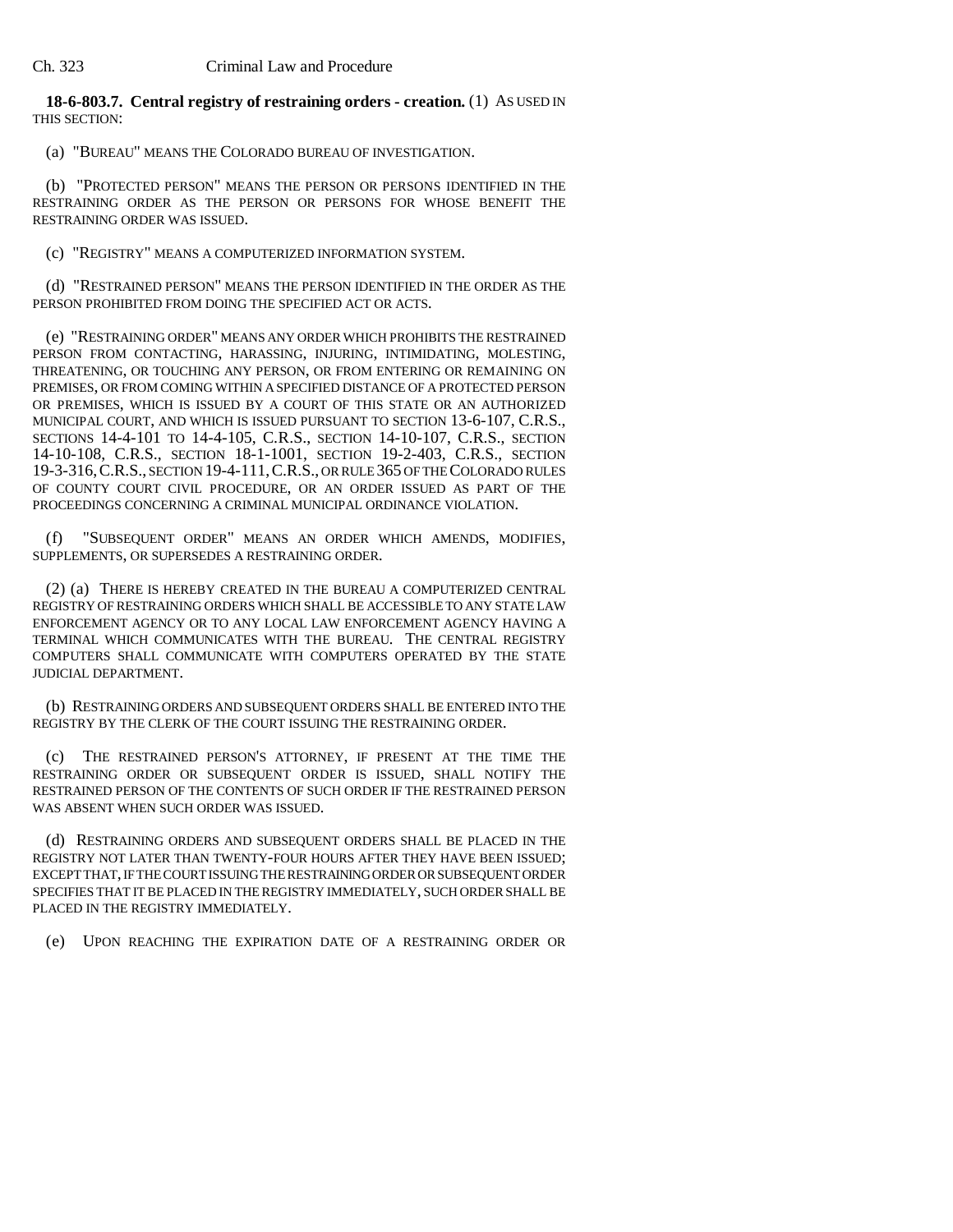### **18-6-803.7. Central registry of restraining orders - creation.** (1) AS USED IN THIS SECTION:

(a) "BUREAU" MEANS THE COLORADO BUREAU OF INVESTIGATION.

(b) "PROTECTED PERSON" MEANS THE PERSON OR PERSONS IDENTIFIED IN THE RESTRAINING ORDER AS THE PERSON OR PERSONS FOR WHOSE BENEFIT THE RESTRAINING ORDER WAS ISSUED.

(c) "REGISTRY" MEANS A COMPUTERIZED INFORMATION SYSTEM.

(d) "RESTRAINED PERSON" MEANS THE PERSON IDENTIFIED IN THE ORDER AS THE PERSON PROHIBITED FROM DOING THE SPECIFIED ACT OR ACTS.

(e) "RESTRAINING ORDER" MEANS ANY ORDER WHICH PROHIBITS THE RESTRAINED PERSON FROM CONTACTING, HARASSING, INJURING, INTIMIDATING, MOLESTING, THREATENING, OR TOUCHING ANY PERSON, OR FROM ENTERING OR REMAINING ON PREMISES, OR FROM COMING WITHIN A SPECIFIED DISTANCE OF A PROTECTED PERSON OR PREMISES, WHICH IS ISSUED BY A COURT OF THIS STATE OR AN AUTHORIZED MUNICIPAL COURT, AND WHICH IS ISSUED PURSUANT TO SECTION 13-6-107, C.R.S., SECTIONS 14-4-101 TO 14-4-105, C.R.S., SECTION 14-10-107, C.R.S., SECTION 14-10-108, C.R.S., SECTION 18-1-1001, SECTION 19-2-403, C.R.S., SECTION 19-3-316,C.R.S., SECTION 19-4-111,C.R.S., OR RULE 365 OF THE COLORADO RULES OF COUNTY COURT CIVIL PROCEDURE, OR AN ORDER ISSUED AS PART OF THE PROCEEDINGS CONCERNING A CRIMINAL MUNICIPAL ORDINANCE VIOLATION.

(f) "SUBSEQUENT ORDER" MEANS AN ORDER WHICH AMENDS, MODIFIES, SUPPLEMENTS, OR SUPERSEDES A RESTRAINING ORDER.

(2) (a) THERE IS HEREBY CREATED IN THE BUREAU A COMPUTERIZED CENTRAL REGISTRY OF RESTRAINING ORDERS WHICH SHALL BE ACCESSIBLE TO ANY STATE LAW ENFORCEMENT AGENCY OR TO ANY LOCAL LAW ENFORCEMENT AGENCY HAVING A TERMINAL WHICH COMMUNICATES WITH THE BUREAU. THE CENTRAL REGISTRY COMPUTERS SHALL COMMUNICATE WITH COMPUTERS OPERATED BY THE STATE JUDICIAL DEPARTMENT.

(b) RESTRAINING ORDERS AND SUBSEQUENT ORDERS SHALL BE ENTERED INTO THE REGISTRY BY THE CLERK OF THE COURT ISSUING THE RESTRAINING ORDER.

(c) THE RESTRAINED PERSON'S ATTORNEY, IF PRESENT AT THE TIME THE RESTRAINING ORDER OR SUBSEQUENT ORDER IS ISSUED, SHALL NOTIFY THE RESTRAINED PERSON OF THE CONTENTS OF SUCH ORDER IF THE RESTRAINED PERSON WAS ABSENT WHEN SUCH ORDER WAS ISSUED.

(d) RESTRAINING ORDERS AND SUBSEQUENT ORDERS SHALL BE PLACED IN THE REGISTRY NOT LATER THAN TWENTY-FOUR HOURS AFTER THEY HAVE BEEN ISSUED; EXCEPT THAT, IF THE COURT ISSUING THE RESTRAINING ORDER OR SUBSEQUENT ORDER SPECIFIES THAT IT BE PLACED IN THE REGISTRY IMMEDIATELY, SUCH ORDER SHALL BE PLACED IN THE REGISTRY IMMEDIATELY.

(e) UPON REACHING THE EXPIRATION DATE OF A RESTRAINING ORDER OR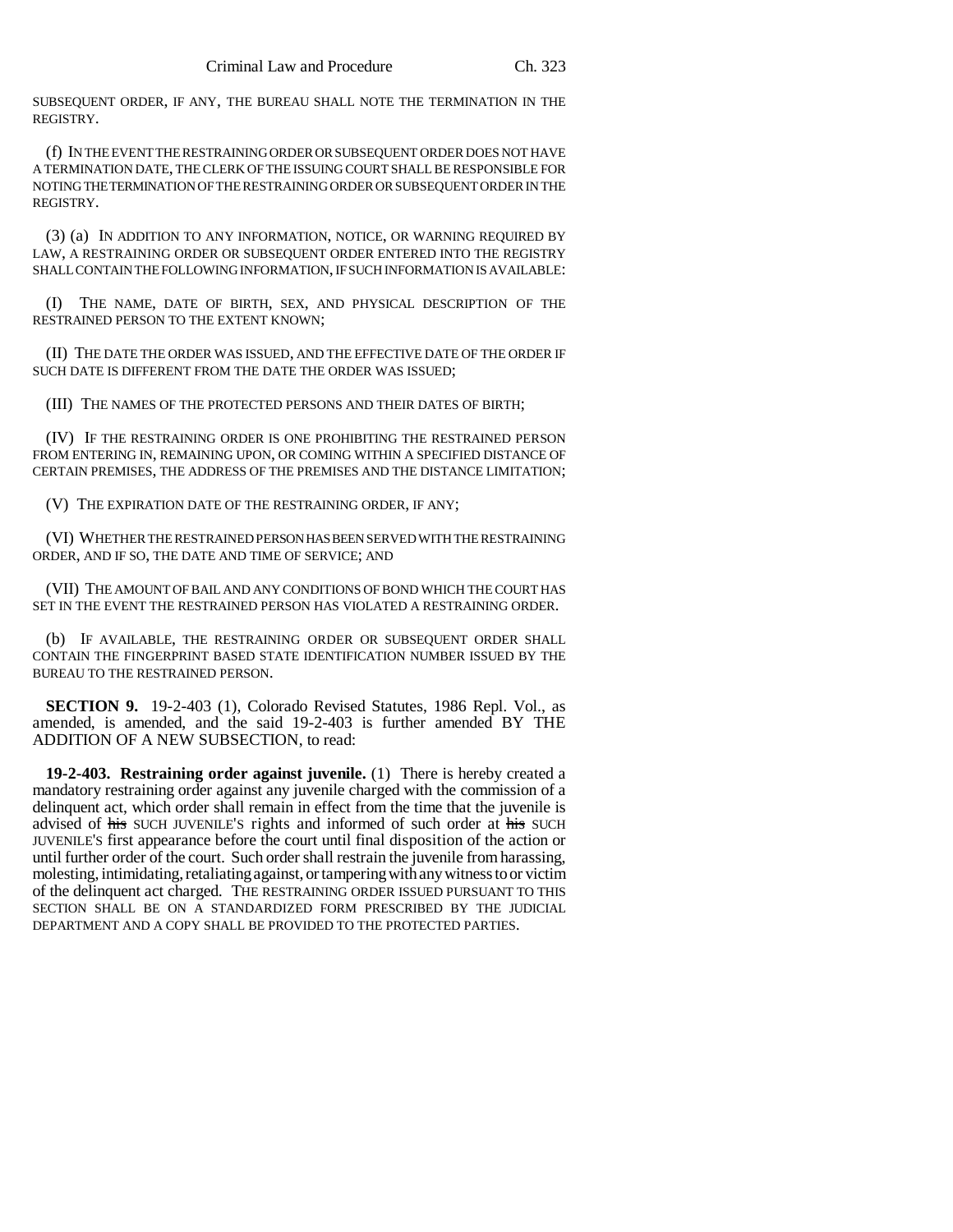SUBSEQUENT ORDER, IF ANY, THE BUREAU SHALL NOTE THE TERMINATION IN THE REGISTRY.

(f) IN THE EVENT THE RESTRAINING ORDER OR SUBSEQUENT ORDER DOES NOT HAVE A TERMINATION DATE, THE CLERK OF THE ISSUING COURT SHALL BE RESPONSIBLE FOR NOTING THE TERMINATION OF THE RESTRAINING ORDER OR SUBSEQUENT ORDER IN THE REGISTRY.

(3) (a) IN ADDITION TO ANY INFORMATION, NOTICE, OR WARNING REQUIRED BY LAW, A RESTRAINING ORDER OR SUBSEQUENT ORDER ENTERED INTO THE REGISTRY SHALL CONTAIN THE FOLLOWING INFORMATION, IF SUCH INFORMATION IS AVAILABLE:

(I) THE NAME, DATE OF BIRTH, SEX, AND PHYSICAL DESCRIPTION OF THE RESTRAINED PERSON TO THE EXTENT KNOWN;

(II) THE DATE THE ORDER WAS ISSUED, AND THE EFFECTIVE DATE OF THE ORDER IF SUCH DATE IS DIFFERENT FROM THE DATE THE ORDER WAS ISSUED;

(III) THE NAMES OF THE PROTECTED PERSONS AND THEIR DATES OF BIRTH;

(IV) IF THE RESTRAINING ORDER IS ONE PROHIBITING THE RESTRAINED PERSON FROM ENTERING IN, REMAINING UPON, OR COMING WITHIN A SPECIFIED DISTANCE OF CERTAIN PREMISES, THE ADDRESS OF THE PREMISES AND THE DISTANCE LIMITATION;

(V) THE EXPIRATION DATE OF THE RESTRAINING ORDER, IF ANY;

(VI) WHETHER THE RESTRAINED PERSON HAS BEEN SERVED WITH THE RESTRAINING ORDER, AND IF SO, THE DATE AND TIME OF SERVICE; AND

(VII) THE AMOUNT OF BAIL AND ANY CONDITIONS OF BOND WHICH THE COURT HAS SET IN THE EVENT THE RESTRAINED PERSON HAS VIOLATED A RESTRAINING ORDER.

(b) IF AVAILABLE, THE RESTRAINING ORDER OR SUBSEQUENT ORDER SHALL CONTAIN THE FINGERPRINT BASED STATE IDENTIFICATION NUMBER ISSUED BY THE BUREAU TO THE RESTRAINED PERSON.

**SECTION 9.** 19-2-403 (1), Colorado Revised Statutes, 1986 Repl. Vol., as amended, is amended, and the said 19-2-403 is further amended BY THE ADDITION OF A NEW SUBSECTION, to read:

**19-2-403. Restraining order against juvenile.** (1) There is hereby created a mandatory restraining order against any juvenile charged with the commission of a delinquent act, which order shall remain in effect from the time that the juvenile is advised of his SUCH JUVENILE'S rights and informed of such order at his SUCH JUVENILE'S first appearance before the court until final disposition of the action or until further order of the court. Such order shall restrain the juvenile from harassing, molesting, intimidating, retaliating against, or tampering with any witness to or victim of the delinquent act charged. THE RESTRAINING ORDER ISSUED PURSUANT TO THIS SECTION SHALL BE ON A STANDARDIZED FORM PRESCRIBED BY THE JUDICIAL DEPARTMENT AND A COPY SHALL BE PROVIDED TO THE PROTECTED PARTIES.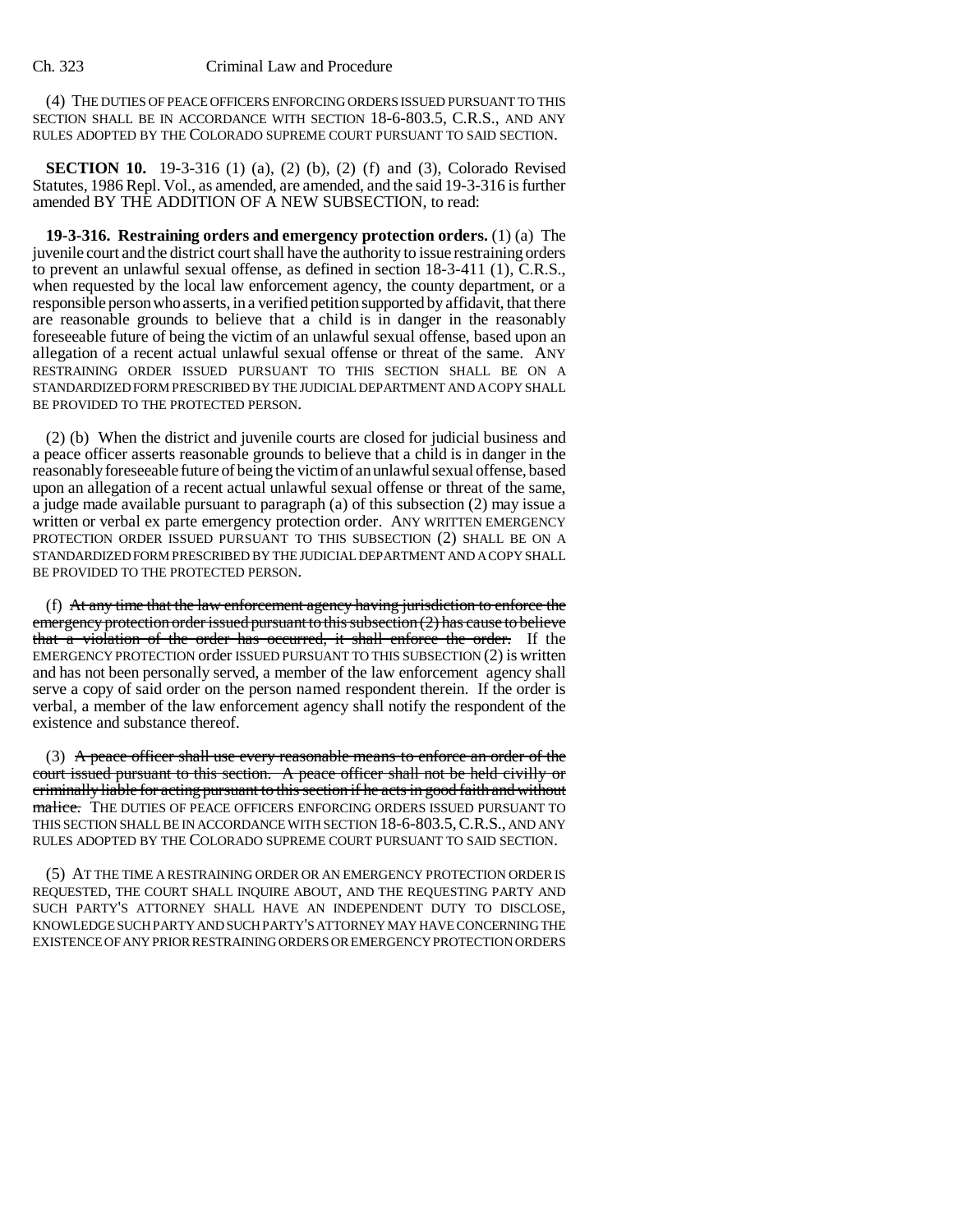(4) THE DUTIES OF PEACE OFFICERS ENFORCING ORDERS ISSUED PURSUANT TO THIS SECTION SHALL BE IN ACCORDANCE WITH SECTION 18-6-803.5, C.R.S., AND ANY RULES ADOPTED BY THE COLORADO SUPREME COURT PURSUANT TO SAID SECTION.

**SECTION 10.** 19-3-316 (1) (a), (2) (b), (2) (f) and (3), Colorado Revised Statutes, 1986 Repl. Vol., as amended, are amended, and the said 19-3-316 is further amended BY THE ADDITION OF A NEW SUBSECTION, to read:

**19-3-316. Restraining orders and emergency protection orders.** (1) (a) The juvenile court and the district court shall have the authority to issue restraining orders to prevent an unlawful sexual offense, as defined in section 18-3-411 (1), C.R.S., when requested by the local law enforcement agency, the county department, or a responsible person who asserts, in a verified petition supported by affidavit, that there are reasonable grounds to believe that a child is in danger in the reasonably foreseeable future of being the victim of an unlawful sexual offense, based upon an allegation of a recent actual unlawful sexual offense or threat of the same. ANY RESTRAINING ORDER ISSUED PURSUANT TO THIS SECTION SHALL BE ON A STANDARDIZED FORM PRESCRIBED BY THE JUDICIAL DEPARTMENT AND A COPY SHALL BE PROVIDED TO THE PROTECTED PERSON.

(2) (b) When the district and juvenile courts are closed for judicial business and a peace officer asserts reasonable grounds to believe that a child is in danger in the reasonably foreseeable future of being the victim of an unlawful sexual offense, based upon an allegation of a recent actual unlawful sexual offense or threat of the same, a judge made available pursuant to paragraph (a) of this subsection (2) may issue a written or verbal ex parte emergency protection order. ANY WRITTEN EMERGENCY PROTECTION ORDER ISSUED PURSUANT TO THIS SUBSECTION (2) SHALL BE ON A STANDARDIZED FORM PRESCRIBED BY THE JUDICIAL DEPARTMENT AND A COPY SHALL BE PROVIDED TO THE PROTECTED PERSON.

(f) At any time that the law enforcement agency having jurisdiction to enforce the emergency protection order issued pursuant to this subsection (2) has cause to believe that a violation of the order has occurred, it shall enforce the order. If the EMERGENCY PROTECTION order ISSUED PURSUANT TO THIS SUBSECTION (2) is written and has not been personally served, a member of the law enforcement agency shall serve a copy of said order on the person named respondent therein. If the order is verbal, a member of the law enforcement agency shall notify the respondent of the existence and substance thereof.

(3) A peace officer shall use every reasonable means to enforce an order of the court issued pursuant to this section. A peace officer shall not be held civilly or criminally liable for acting pursuant to this section if he acts in good faith and without malice. THE DUTIES OF PEACE OFFICERS ENFORCING ORDERS ISSUED PURSUANT TO THIS SECTION SHALL BE IN ACCORDANCE WITH SECTION 18-6-803.5,C.R.S., AND ANY RULES ADOPTED BY THE COLORADO SUPREME COURT PURSUANT TO SAID SECTION.

(5) AT THE TIME A RESTRAINING ORDER OR AN EMERGENCY PROTECTION ORDER IS REQUESTED, THE COURT SHALL INQUIRE ABOUT, AND THE REQUESTING PARTY AND SUCH PARTY'S ATTORNEY SHALL HAVE AN INDEPENDENT DUTY TO DISCLOSE, KNOWLEDGE SUCH PARTY AND SUCH PARTY'S ATTORNEY MAY HAVE CONCERNING THE EXISTENCE OF ANY PRIOR RESTRAINING ORDERS OR EMERGENCY PROTECTION ORDERS